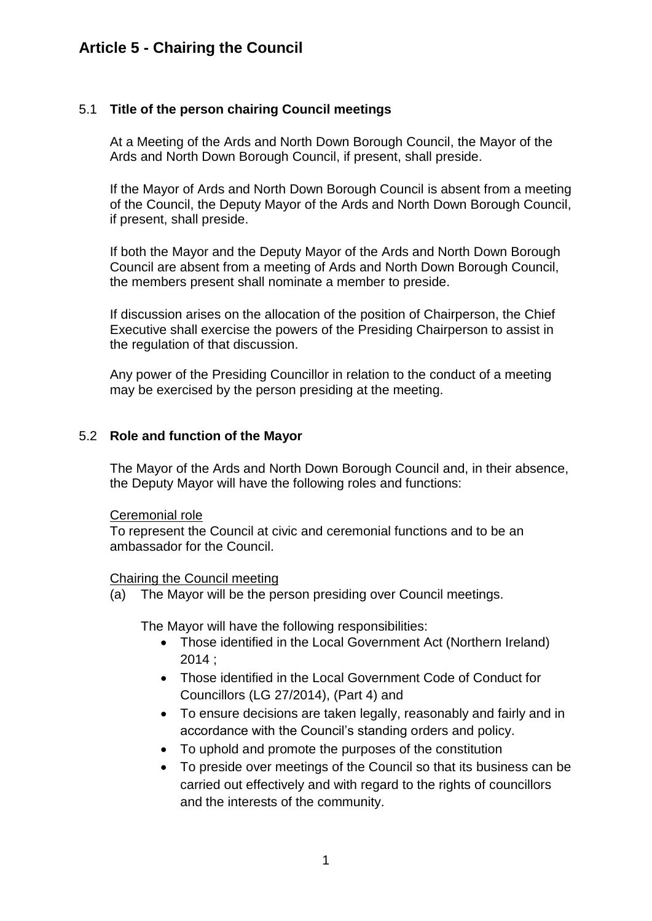## **Article 5 - Chairing the Council**

### 5.1 **Title of the person chairing Council meetings**

At a Meeting of the Ards and North Down Borough Council, the Mayor of the Ards and North Down Borough Council, if present, shall preside.

If the Mayor of Ards and North Down Borough Council is absent from a meeting of the Council, the Deputy Mayor of the Ards and North Down Borough Council, if present, shall preside.

If both the Mayor and the Deputy Mayor of the Ards and North Down Borough Council are absent from a meeting of Ards and North Down Borough Council, the members present shall nominate a member to preside.

If discussion arises on the allocation of the position of Chairperson, the Chief Executive shall exercise the powers of the Presiding Chairperson to assist in the regulation of that discussion.

Any power of the Presiding Councillor in relation to the conduct of a meeting may be exercised by the person presiding at the meeting.

#### 5.2 **Role and function of the Mayor**

The Mayor of the Ards and North Down Borough Council and, in their absence, the Deputy Mayor will have the following roles and functions:

#### Ceremonial role

To represent the Council at civic and ceremonial functions and to be an ambassador for the Council.

#### Chairing the Council meeting

(a) The Mayor will be the person presiding over Council meetings.

The Mayor will have the following responsibilities:

- Those identified in the Local Government Act (Northern Ireland) 2014 ;
- Those identified in the Local Government Code of Conduct for Councillors (LG 27/2014), (Part 4) and
- To ensure decisions are taken legally, reasonably and fairly and in accordance with the Council's standing orders and policy.
- To uphold and promote the purposes of the constitution
- To preside over meetings of the Council so that its business can be carried out effectively and with regard to the rights of councillors and the interests of the community.